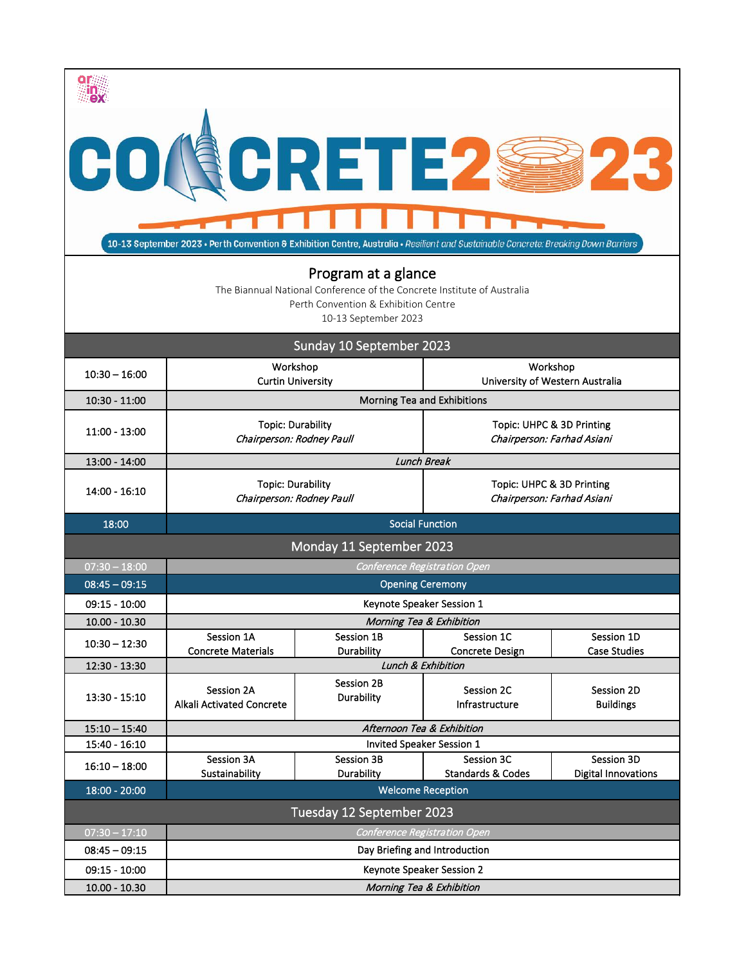| CO RCRETE2<br>10-13 September 2023 • Perth Convention & Exhibition Centre, Australia • Resilient and Sustainable Concrete: Breaking Down Barriers<br>Program at a glance |                                                                                                 |                          |                                                         |                                |  |  |  |
|--------------------------------------------------------------------------------------------------------------------------------------------------------------------------|-------------------------------------------------------------------------------------------------|--------------------------|---------------------------------------------------------|--------------------------------|--|--|--|
| The Biannual National Conference of the Concrete Institute of Australia<br>Perth Convention & Exhibition Centre                                                          |                                                                                                 |                          |                                                         |                                |  |  |  |
| 10-13 September 2023                                                                                                                                                     |                                                                                                 |                          |                                                         |                                |  |  |  |
| Sunday 10 September 2023                                                                                                                                                 |                                                                                                 |                          |                                                         |                                |  |  |  |
| $10:30 - 16:00$                                                                                                                                                          | Workshop<br><b>Curtin University</b>                                                            |                          | Workshop<br>University of Western Australia             |                                |  |  |  |
| $10:30 - 11:00$                                                                                                                                                          | Morning Tea and Exhibitions                                                                     |                          |                                                         |                                |  |  |  |
| $11:00 - 13:00$                                                                                                                                                          | <b>Topic: Durability</b><br>Chairperson: Rodney Paull                                           |                          | Topic: UHPC & 3D Printing<br>Chairperson: Farhad Asiani |                                |  |  |  |
| 13:00 - 14:00                                                                                                                                                            | <b>Lunch Break</b>                                                                              |                          |                                                         |                                |  |  |  |
| $14:00 - 16:10$                                                                                                                                                          | <b>Topic: Durability</b><br>Chairperson: Rodney Paull                                           |                          | Topic: UHPC & 3D Printing<br>Chairperson: Farhad Asiani |                                |  |  |  |
| 18:00                                                                                                                                                                    | <b>Social Function</b>                                                                          |                          |                                                         |                                |  |  |  |
| Monday 11 September 2023                                                                                                                                                 |                                                                                                 |                          |                                                         |                                |  |  |  |
| $07:30 - 18:00$                                                                                                                                                          | <b>Conference Registration Open</b>                                                             |                          |                                                         |                                |  |  |  |
| $08:45 - 09:15$                                                                                                                                                          | <b>Opening Ceremony</b>                                                                         |                          |                                                         |                                |  |  |  |
| $09:15 - 10:00$                                                                                                                                                          | Keynote Speaker Session 1                                                                       |                          |                                                         |                                |  |  |  |
| $10.00 - 10.30$                                                                                                                                                          | Session 1A                                                                                      | Session 1B               | Morning Tea & Exhibition<br>Session 1C                  | Session 1D                     |  |  |  |
| $10:30 - 12:30$                                                                                                                                                          | <b>Concrete Materials</b>                                                                       | Durability               | <b>Concrete Design</b>                                  | <b>Case Studies</b>            |  |  |  |
| 12:30 - 13:30                                                                                                                                                            | Lunch & Exhibition                                                                              |                          |                                                         |                                |  |  |  |
| $13:30 - 15:10$                                                                                                                                                          | Session 2A<br>Alkali Activated Concrete                                                         | Session 2B<br>Durability | Session 2C<br>Infrastructure                            | Session 2D<br><b>Buildings</b> |  |  |  |
| $15:10 - 15:40$                                                                                                                                                          | Afternoon Tea & Exhibition                                                                      |                          |                                                         |                                |  |  |  |
| $15:40 - 16:10$                                                                                                                                                          | <b>Invited Speaker Session 1</b><br>Session 3C<br>Session 3A<br><b>Session 3B</b><br>Session 3D |                          |                                                         |                                |  |  |  |
| $16:10 - 18:00$                                                                                                                                                          | Sustainability                                                                                  | Durability               | <b>Standards &amp; Codes</b>                            | <b>Digital Innovations</b>     |  |  |  |
| $18:00 - 20:00$<br><b>Welcome Reception</b>                                                                                                                              |                                                                                                 |                          |                                                         |                                |  |  |  |
| Tuesday 12 September 2023                                                                                                                                                |                                                                                                 |                          |                                                         |                                |  |  |  |
| $07:30 - 17:10$                                                                                                                                                          | <b>Conference Registration Open</b>                                                             |                          |                                                         |                                |  |  |  |
| $08:45 - 09:15$                                                                                                                                                          | Day Briefing and Introduction                                                                   |                          |                                                         |                                |  |  |  |
| $09:15 - 10:00$                                                                                                                                                          | Keynote Speaker Session 2                                                                       |                          |                                                         |                                |  |  |  |
| $10.00 - 10.30$                                                                                                                                                          | Morning Tea & Exhibition                                                                        |                          |                                                         |                                |  |  |  |